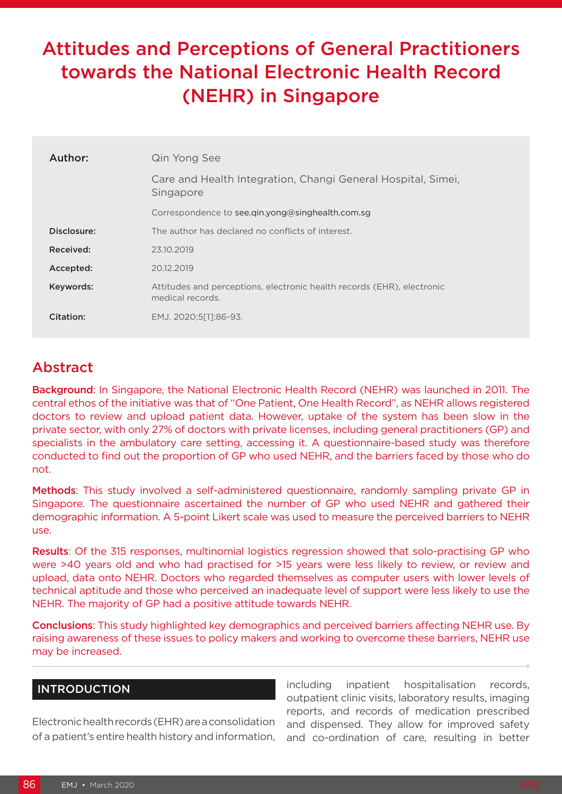# Attitudes and Perceptions of General Practitioners towards the National Electronic Health Record (NEHR) in Singapore

| Author:     | Qin Yong See                                                                               |
|-------------|--------------------------------------------------------------------------------------------|
|             | Care and Health Integration, Changi General Hospital, Simei,<br>Singapore                  |
|             | Correspondence to see gin.yong@singhealth.com.sg                                           |
| Disclosure: | The author has declared no conflicts of interest.                                          |
| Received:   | 23.10.2019                                                                                 |
| Accepted:   | 20.12.2019                                                                                 |
| Keywords:   | Attitudes and perceptions, electronic health records (EHR), electronic<br>medical records. |
| Citation:   | EMJ. 2020;5[1]:86-93.                                                                      |

## Abstract

Background: In Singapore, the National Electronic Health Record (NEHR) was launched in 2011. The central ethos of the initiative was that of "One Patient, One Health Record", as NEHR allows registered doctors to review and upload patient data. However, uptake of the system has been slow in the private sector, with only 27% of doctors with private licenses, including general practitioners (GP) and specialists in the ambulatory care setting, accessing it. A questionnaire-based study was therefore conducted to find out the proportion of GP who used NEHR, and the barriers faced by those who do not.

Methods: This study involved a self-administered questionnaire, randomly sampling private GP in Singapore. The questionnaire ascertained the number of GP who used NEHR and gathered their demographic information. A 5-point Likert scale was used to measure the perceived barriers to NEHR use.

Results: Of the 315 responses, multinomial logistics regression showed that solo-practising GP who were >40 years old and who had practised for >15 years were less likely to review, or review and upload, data onto NEHR. Doctors who regarded themselves as computer users with lower levels of technical aptitude and those who perceived an inadequate level of support were less likely to use the NEHR. The majority of GP had a positive attitude towards NEHR.

Conclusions: This study highlighted key demographics and perceived barriers affecting NEHR use. By raising awareness of these issues to policy makers and working to overcome these barriers, NEHR use may be increased.

#### **INTRODUCTION**

Electronic health records (EHR) are a consolidation of a patient's entire health history and information,

including inpatient hospitalisation records, outpatient clinic visits, laboratory results, imaging reports, and records of medication prescribed and dispensed. They allow for improved safety and co-ordination of care, resulting in better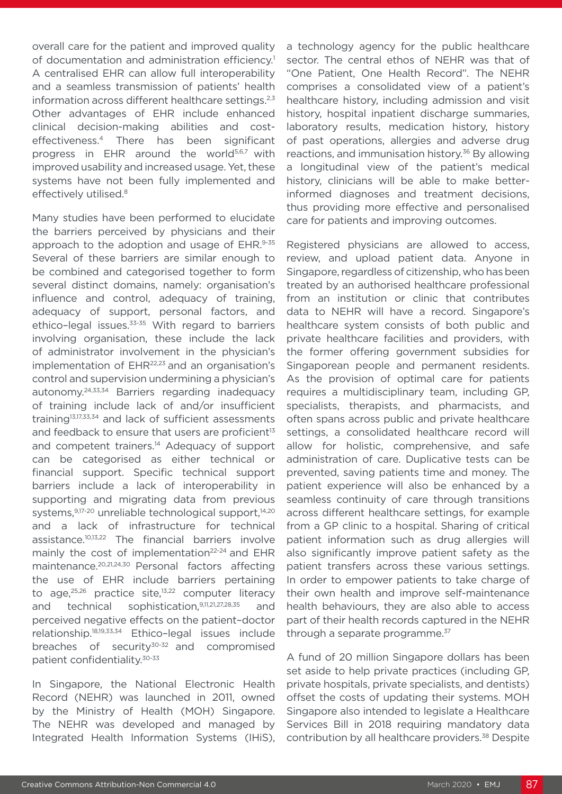overall care for the patient and improved quality of documentation and administration efficiency.<sup>1</sup> A centralised EHR can allow full interoperability and a seamless transmission of patients' health information across different healthcare settings.<sup>2,3</sup> Other advantages of EHR include enhanced clinical decision-making abilities and costeffectiveness.4 There has been significant progress in EHR around the world<sup>5,6,7</sup> with improved usability and increased usage. Yet, these systems have not been fully implemented and effectively utilised.<sup>8</sup>

Many studies have been performed to elucidate the barriers perceived by physicians and their approach to the adoption and usage of EHR.9-35 Several of these barriers are similar enough to be combined and categorised together to form several distinct domains, namely: organisation's influence and control, adequacy of training, adequacy of support, personal factors, and ethico-legal issues.<sup>33-35</sup> With regard to barriers involving organisation, these include the lack of administrator involvement in the physician's implementation of EHR<sup>22,23</sup> and an organisation's control and supervision undermining a physician's autonomy.24,33,34 Barriers regarding inadequacy of training include lack of and/or insufficient training13,17,33,34 and lack of sufficient assessments and feedback to ensure that users are proficient<sup>13</sup> and competent trainers.<sup>14</sup> Adequacy of support can be categorised as either technical or financial support. Specific technical support barriers include a lack of interoperability in supporting and migrating data from previous systems, 9,17-20 unreliable technological support, 14,20 and a lack of infrastructure for technical assistance.10,13,22 The financial barriers involve mainly the cost of implementation<sup>22-24</sup> and EHR maintenance.20,21,24,30 Personal factors affecting the use of EHR include barriers pertaining to age, $25,26$  practice site, $13,22$  computer literacy and technical sophistication,9,11,21,27,28,35 and perceived negative effects on the patient–doctor relationship.18,19,33,34 Ethico–legal issues include breaches of security $30-32$  and compromised patient confidentiality.30-33

In Singapore, the National Electronic Health Record (NEHR) was launched in 2011, owned by the Ministry of Health (MOH) Singapore. The NEHR was developed and managed by Integrated Health Information Systems (IHiS), a technology agency for the public healthcare sector. The central ethos of NEHR was that of "One Patient, One Health Record". The NEHR comprises a consolidated view of a patient's healthcare history, including admission and visit history, hospital inpatient discharge summaries, laboratory results, medication history, history of past operations, allergies and adverse drug reactions, and immunisation history.<sup>36</sup> By allowing a longitudinal view of the patient's medical history, clinicians will be able to make betterinformed diagnoses and treatment decisions, thus providing more effective and personalised care for patients and improving outcomes.

Registered physicians are allowed to access, review, and upload patient data. Anyone in Singapore, regardless of citizenship, who has been treated by an authorised healthcare professional from an institution or clinic that contributes data to NEHR will have a record. Singapore's healthcare system consists of both public and private healthcare facilities and providers, with the former offering government subsidies for Singaporean people and permanent residents. As the provision of optimal care for patients requires a multidisciplinary team, including GP, specialists, therapists, and pharmacists, and often spans across public and private healthcare settings, a consolidated healthcare record will allow for holistic, comprehensive, and safe administration of care. Duplicative tests can be prevented, saving patients time and money. The patient experience will also be enhanced by a seamless continuity of care through transitions across different healthcare settings, for example from a GP clinic to a hospital. Sharing of critical patient information such as drug allergies will also significantly improve patient safety as the patient transfers across these various settings. In order to empower patients to take charge of their own health and improve self-maintenance health behaviours, they are also able to access part of their health records captured in the NEHR through a separate programme.<sup>37</sup>

A fund of 20 million Singapore dollars has been set aside to help private practices (including GP, private hospitals, private specialists, and dentists) offset the costs of updating their systems. MOH Singapore also intended to legislate a Healthcare Services Bill in 2018 requiring mandatory data contribution by all healthcare providers.<sup>38</sup> Despite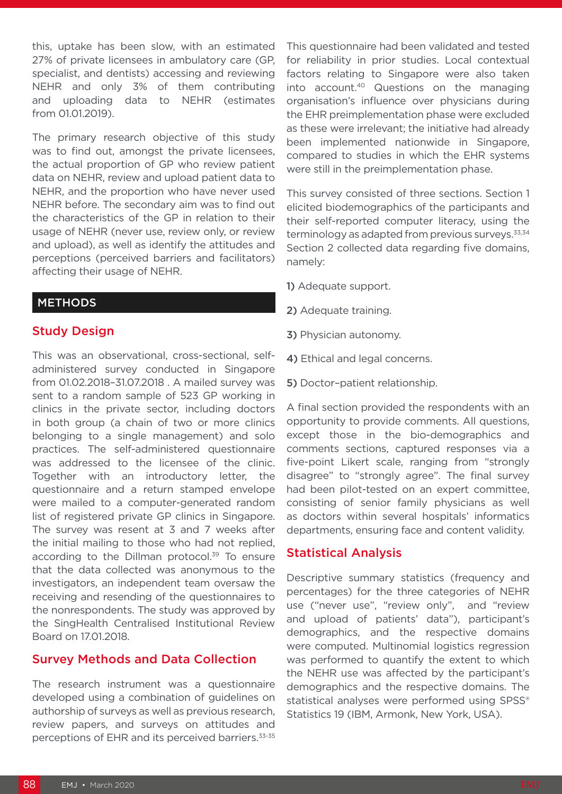this, uptake has been slow, with an estimated 27% of private licensees in ambulatory care (GP, specialist, and dentists) accessing and reviewing NEHR and only 3% of them contributing and uploading data to NEHR (estimates from 01.01.2019).

The primary research objective of this study was to find out, amongst the private licensees, the actual proportion of GP who review patient data on NEHR, review and upload patient data to NEHR, and the proportion who have never used NEHR before. The secondary aim was to find out the characteristics of the GP in relation to their usage of NEHR (never use, review only, or review and upload), as well as identify the attitudes and perceptions (perceived barriers and facilitators) affecting their usage of NEHR.

#### METHODS

## Study Design

This was an observational, cross-sectional, selfadministered survey conducted in Singapore from 01.02.2018–31.07.2018 . A mailed survey was sent to a random sample of 523 GP working in clinics in the private sector, including doctors in both group (a chain of two or more clinics belonging to a single management) and solo practices. The self-administered questionnaire was addressed to the licensee of the clinic. Together with an introductory letter, the questionnaire and a return stamped envelope were mailed to a computer-generated random list of registered private GP clinics in Singapore. The survey was resent at 3 and 7 weeks after the initial mailing to those who had not replied, according to the Dillman protocol.<sup>39</sup> To ensure that the data collected was anonymous to the investigators, an independent team oversaw the receiving and resending of the questionnaires to the nonrespondents. The study was approved by the SingHealth Centralised Institutional Review Board on 17.01.2018.

## Survey Methods and Data Collection

The research instrument was a questionnaire developed using a combination of guidelines on authorship of surveys as well as previous research, review papers, and surveys on attitudes and perceptions of EHR and its perceived barriers.33-35

This questionnaire had been validated and tested for reliability in prior studies. Local contextual factors relating to Singapore were also taken into account.40 Questions on the managing organisation's influence over physicians during the EHR preimplementation phase were excluded as these were irrelevant; the initiative had already been implemented nationwide in Singapore, compared to studies in which the EHR systems were still in the preimplementation phase.

This survey consisted of three sections. Section 1 elicited biodemographics of the participants and their self-reported computer literacy, using the terminology as adapted from previous surveys.<sup>33,34</sup> Section 2 collected data regarding five domains, namely:

1) Adequate support.

- 2) Adequate training.
- 3) Physician autonomy.
- 4) Ethical and legal concerns.
- 5) Doctor–patient relationship.

A final section provided the respondents with an opportunity to provide comments. All questions, except those in the bio-demographics and comments sections, captured responses via a five-point Likert scale, ranging from "strongly disagree" to "strongly agree". The final survey had been pilot-tested on an expert committee, consisting of senior family physicians as well as doctors within several hospitals' informatics departments, ensuring face and content validity.

## Statistical Analysis

Descriptive summary statistics (frequency and percentages) for the three categories of NEHR use ("never use", "review only", and "review and upload of patients' data"), participant's demographics, and the respective domains were computed. Multinomial logistics regression was performed to quantify the extent to which the NEHR use was affected by the participant's demographics and the respective domains. The statistical analyses were performed using SPSS® Statistics 19 (IBM, Armonk, New York, USA).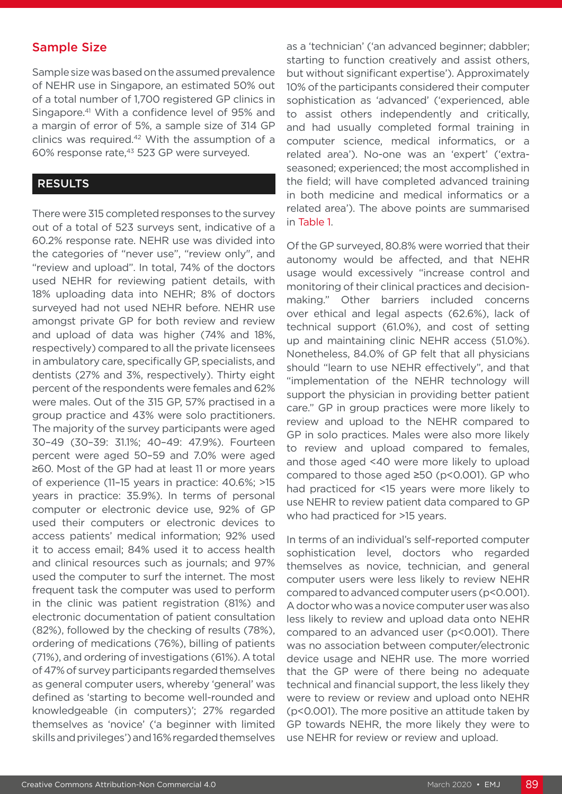## Sample Size

Sample size was based on the assumed prevalence of NEHR use in Singapore, an estimated 50% out of a total number of 1,700 registered GP clinics in Singapore.41 With a confidence level of 95% and a margin of error of 5%, a sample size of 314 GP clinics was required.<sup>42</sup> With the assumption of a 60% response rate,43 523 GP were surveyed.

#### RESULTS

There were 315 completed responses to the survey out of a total of 523 surveys sent, indicative of a 60.2% response rate. NEHR use was divided into the categories of "never use", "review only", and "review and upload". In total, 74% of the doctors used NEHR for reviewing patient details, with 18% uploading data into NEHR; 8% of doctors surveyed had not used NEHR before. NEHR use amongst private GP for both review and review and upload of data was higher (74% and 18%, respectively) compared to all the private licensees in ambulatory care, specifically GP, specialists, and dentists (27% and 3%, respectively). Thirty eight percent of the respondents were females and 62% were males. Out of the 315 GP, 57% practised in a group practice and 43% were solo practitioners. The majority of the survey participants were aged 30–49 (30–39: 31.1%; 40–49: 47.9%). Fourteen percent were aged 50–59 and 7.0% were aged ≥60. Most of the GP had at least 11 or more years of experience (11–15 years in practice: 40.6%; >15 years in practice: 35.9%). In terms of personal computer or electronic device use, 92% of GP used their computers or electronic devices to access patients' medical information; 92% used it to access email; 84% used it to access health and clinical resources such as journals; and 97% used the computer to surf the internet. The most frequent task the computer was used to perform in the clinic was patient registration (81%) and electronic documentation of patient consultation (82%), followed by the checking of results (78%), ordering of medications (76%), billing of patients (71%), and ordering of investigations (61%). A total of 47% of survey participants regarded themselves as general computer users, whereby 'general' was defined as 'starting to become well-rounded and knowledgeable (in computers)'; 27% regarded themselves as 'novice' ('a beginner with limited skills and privileges') and 16% regarded themselves

as a 'technician' ('an advanced beginner; dabbler; starting to function creatively and assist others, but without significant expertise'). Approximately 10% of the participants considered their computer sophistication as 'advanced' ('experienced, able to assist others independently and critically, and had usually completed formal training in computer science, medical informatics, or a related area'). No-one was an 'expert' ('extraseasoned; experienced; the most accomplished in the field; will have completed advanced training in both medicine and medical informatics or a related area'). The above points are summarised in Table 1.

Of the GP surveyed, 80.8% were worried that their autonomy would be affected, and that NEHR usage would excessively "increase control and monitoring of their clinical practices and decisionmaking." Other barriers included concerns over ethical and legal aspects (62.6%), lack of technical support (61.0%), and cost of setting up and maintaining clinic NEHR access (51.0%). Nonetheless, 84.0% of GP felt that all physicians should "learn to use NEHR effectively", and that "implementation of the NEHR technology will support the physician in providing better patient care." GP in group practices were more likely to review and upload to the NEHR compared to GP in solo practices. Males were also more likely to review and upload compared to females, and those aged <40 were more likely to upload compared to those aged ≥50 (p<0.001). GP who had practiced for <15 years were more likely to use NEHR to review patient data compared to GP who had practiced for >15 years.

In terms of an individual's self-reported computer sophistication level, doctors who regarded themselves as novice, technician, and general computer users were less likely to review NEHR compared to advanced computer users (p<0.001). A doctor who was a novice computer user was also less likely to review and upload data onto NEHR compared to an advanced user (p<0.001). There was no association between computer/electronic device usage and NEHR use. The more worried that the GP were of there being no adequate technical and financial support, the less likely they were to review or review and upload onto NEHR (p<0.001). The more positive an attitude taken by GP towards NEHR, the more likely they were to use NEHR for review or review and upload.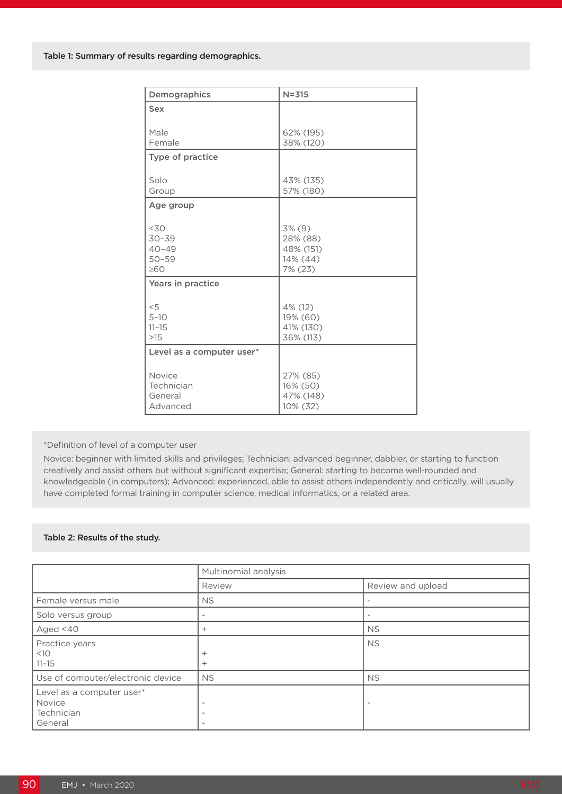| Demographics              | $N = 315$              |
|---------------------------|------------------------|
| Sex                       |                        |
|                           |                        |
| Male<br>Female            | 62% (195)<br>38% (120) |
|                           |                        |
| Type of practice          |                        |
| Solo                      | 43% (135)              |
| Group                     | 57% (180)              |
| Age group                 |                        |
|                           |                        |
| 30<                       | $3\%$ (9)              |
| $30 - 39$                 | 28% (88)               |
| $40 - 49$<br>$50 - 59$    | 48% (151)<br>14% (44)  |
| $\geq 60$                 | 7% (23)                |
| Years in practice         |                        |
|                           |                        |
| < 5                       | 4% (12)                |
| $5 - 10$                  | 19% (60)               |
| $11 - 15$<br>$>15$        | 41% (130)<br>36% (113) |
|                           |                        |
| Level as a computer user* |                        |
| Novice                    | 27% (85)               |
| Technician                | 16% (50)               |
| General                   | 47% (148)              |
| Advanced                  | 10% (32)               |

\*Definition of level of a computer user

Novice: beginner with limited skills and privileges; Technician: advanced beginner, dabbler, or starting to function creatively and assist others but without significant expertise; General: starting to become well-rounded and knowledgeable (in computers); Advanced: experienced, able to assist others independently and critically, will usually have completed formal training in computer science, medical informatics, or a related area.

#### Table 2: Results of the study.

|                                                              | Multinomial analysis                                 |                          |  |
|--------------------------------------------------------------|------------------------------------------------------|--------------------------|--|
|                                                              | Review                                               | Review and upload        |  |
| Female versus male                                           | <b>NS</b>                                            |                          |  |
| Solo versus group                                            | $\overline{\phantom{a}}$                             |                          |  |
| Aged <40                                                     | $+$                                                  | <b>NS</b>                |  |
| Practice years<br><10<br>$11 - 15$                           | $^{+}$<br>$^{+}$                                     | <b>NS</b>                |  |
| Use of computer/electronic device                            | <b>NS</b>                                            | <b>NS</b>                |  |
| Level as a computer user*<br>Novice<br>Technician<br>General | $\overline{\phantom{a}}$<br>$\overline{\phantom{a}}$ | $\overline{\phantom{a}}$ |  |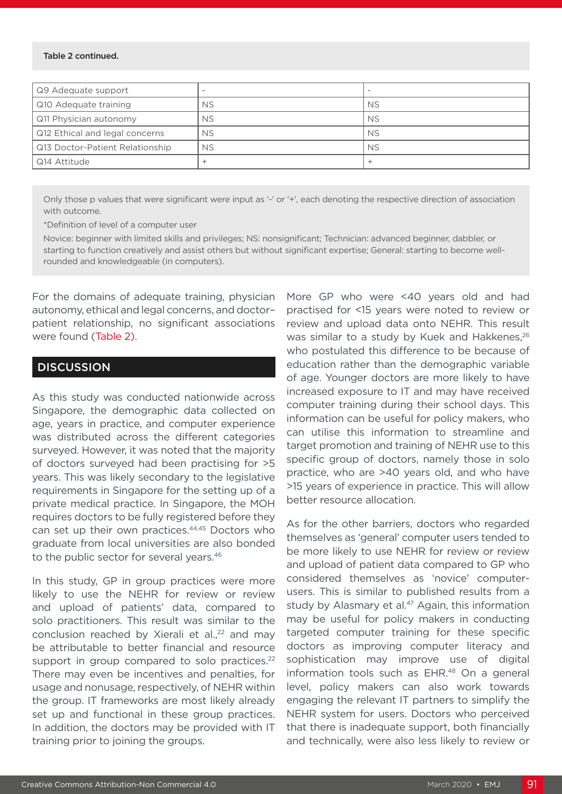#### Table 2 continued.

| Q9 Adequate support             |           |           |
|---------------------------------|-----------|-----------|
| Q10 Adequate training           | <b>NS</b> | <b>NS</b> |
| Q11 Physician autonomy          | <b>NS</b> | <b>NS</b> |
| Q12 Ethical and legal concerns  | <b>NS</b> | <b>NS</b> |
| Q13 Doctor-Patient Relationship | <b>NS</b> | <b>NS</b> |
| Q14 Attitude                    |           |           |

Only those p values that were significant were input as '-' or '+', each denoting the respective direction of association with outcome.

\*Definition of level of a computer user

Novice: beginner with limited skills and privileges; NS: nonsignificant; Technician: advanced beginner, dabbler, or starting to function creatively and assist others but without significant expertise; General: starting to become wellrounded and knowledgeable (in computers).

For the domains of adequate training, physician autonomy, ethical and legal concerns, and doctor– patient relationship, no significant associations were found (Table 2).

#### **DISCUSSION**

As this study was conducted nationwide across Singapore, the demographic data collected on age, years in practice, and computer experience was distributed across the different categories surveyed. However, it was noted that the majority of doctors surveyed had been practising for >5 years. This was likely secondary to the legislative requirements in Singapore for the setting up of a private medical practice. In Singapore, the MOH requires doctors to be fully registered before they can set up their own practices.44,45 Doctors who graduate from local universities are also bonded to the public sector for several years.<sup>46</sup>

In this study, GP in group practices were more likely to use the NEHR for review or review and upload of patients' data, compared to solo practitioners. This result was similar to the conclusion reached by Xierali et al.,<sup>22</sup> and mav be attributable to better financial and resource support in group compared to solo practices.<sup>22</sup> There may even be incentives and penalties, for usage and nonusage, respectively, of NEHR within the group. IT frameworks are most likely already set up and functional in these group practices. In addition, the doctors may be provided with IT training prior to joining the groups.

More GP who were <40 years old and had practised for <15 years were noted to review or review and upload data onto NEHR. This result was similar to a study by Kuek and Hakkenes.<sup>26</sup> who postulated this difference to be because of education rather than the demographic variable of age. Younger doctors are more likely to have increased exposure to IT and may have received computer training during their school days. This information can be useful for policy makers, who can utilise this information to streamline and target promotion and training of NEHR use to this specific group of doctors, namely those in solo practice, who are >40 years old, and who have >15 years of experience in practice. This will allow better resource allocation.

As for the other barriers, doctors who regarded themselves as 'general' computer users tended to be more likely to use NEHR for review or review and upload of patient data compared to GP who considered themselves as 'novice' computerusers. This is similar to published results from a study by Alasmary et al.<sup>47</sup> Again, this information may be useful for policy makers in conducting targeted computer training for these specific doctors as improving computer literacy and sophistication may improve use of digital information tools such as EHR.<sup>48</sup> On a general level, policy makers can also work towards engaging the relevant IT partners to simplify the NEHR system for users. Doctors who perceived that there is inadequate support, both financially and technically, were also less likely to review or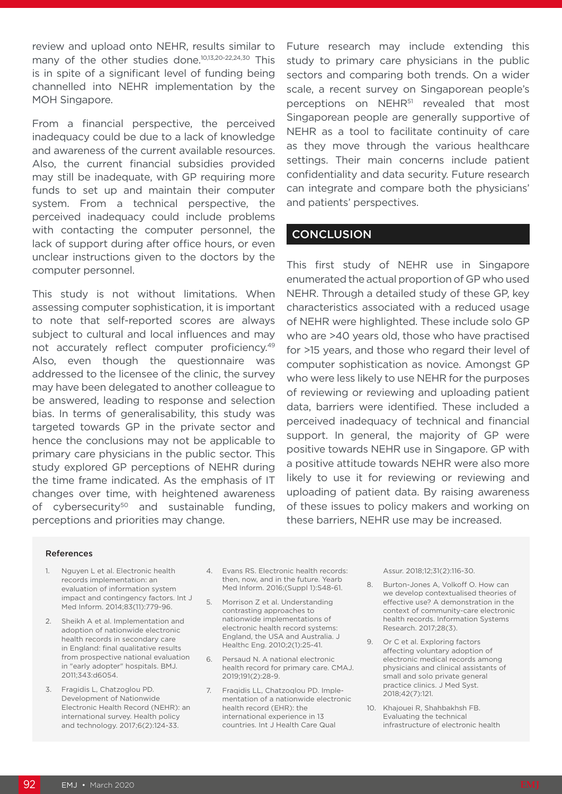review and upload onto NEHR, results similar to many of the other studies done.<sup>10,13,20-22,24,30</sup> This is in spite of a significant level of funding being channelled into NEHR implementation by the MOH Singapore.

From a financial perspective, the perceived inadequacy could be due to a lack of knowledge and awareness of the current available resources. Also, the current financial subsidies provided may still be inadequate, with GP requiring more funds to set up and maintain their computer system. From a technical perspective, the perceived inadequacy could include problems with contacting the computer personnel, the lack of support during after office hours, or even unclear instructions given to the doctors by the computer personnel.

This study is not without limitations. When assessing computer sophistication, it is important to note that self-reported scores are always subject to cultural and local influences and may not accurately reflect computer proficiency.49 Also, even though the questionnaire was addressed to the licensee of the clinic, the survey may have been delegated to another colleague to be answered, leading to response and selection bias. In terms of generalisability, this study was targeted towards GP in the private sector and hence the conclusions may not be applicable to primary care physicians in the public sector. This study explored GP perceptions of NEHR during the time frame indicated. As the emphasis of IT changes over time, with heightened awareness of cybersecurity<sup>50</sup> and sustainable funding, perceptions and priorities may change.

Future research may include extending this study to primary care physicians in the public sectors and comparing both trends. On a wider scale, a recent survey on Singaporean people's perceptions on NEHR<sup>51</sup> revealed that most Singaporean people are generally supportive of NEHR as a tool to facilitate continuity of care as they move through the various healthcare settings. Their main concerns include patient confidentiality and data security. Future research can integrate and compare both the physicians' and patients' perspectives.

#### **CONCLUSION**

This first study of NEHR use in Singapore enumerated the actual proportion of GP who used NEHR. Through a detailed study of these GP, key characteristics associated with a reduced usage of NEHR were highlighted. These include solo GP who are >40 years old, those who have practised for >15 years, and those who regard their level of computer sophistication as novice. Amongst GP who were less likely to use NEHR for the purposes of reviewing or reviewing and uploading patient data, barriers were identified. These included a perceived inadequacy of technical and financial support. In general, the majority of GP were positive towards NEHR use in Singapore. GP with a positive attitude towards NEHR were also more likely to use it for reviewing or reviewing and uploading of patient data. By raising awareness of these issues to policy makers and working on these barriers, NEHR use may be increased.

#### References

- 1. Nguyen L et al. Electronic health records implementation: an evaluation of information system impact and contingency factors. Int J Med Inform. 2014;83(11):779-96.
- 2. Sheikh A et al. Implementation and adoption of nationwide electronic health records in secondary care in England: final qualitative results from prospective national evaluation in "early adopter" hospitals. BMJ. 2011;343:d6054.
- 3. Fragidis L, Chatzoglou PD. Development of Nationwide Electronic Health Record (ΝEHR): an international survey. Health policy and technology. 2017;6(2):124-33.
- 4. Evans RS. Electronic health records: then, now, and in the future. Yearb Med Inform. 2016;(Suppl 1):S48-61.
- 5. Morrison Z et al. Understanding contrasting approaches to nationwide implementations of electronic health record systems: England, the USA and Australia. J Healthc Eng. 2010;2(1):25-41.
- 6. Persaud N. A national electronic health record for primary care. CMAJ. 2019;191(2):28-9.
- 7. Fraqidis LL, Chatzoqlou PD. Implementation of a nationwide electronic health record (EHR): the international experience in 13 countries. Int J Health Care Qual

Assur. 2018;12;31(2):116-30.

- 8. Burton-Jones A, Volkoff O. How can we develop contextualised theories of effective use? A demonstration in the context of community-care electronic health records. Information Systems Research. 2017;28(3).
- 9. Or C et al. Exploring factors affecting voluntary adoption of electronic medical records among physicians and clinical assistants of small and solo private general practice clinics. J Med Syst. 2018;42(7):121.
- 10. Khajouei R, Shahbakhsh FB. Evaluating the technical infrastructure of electronic health